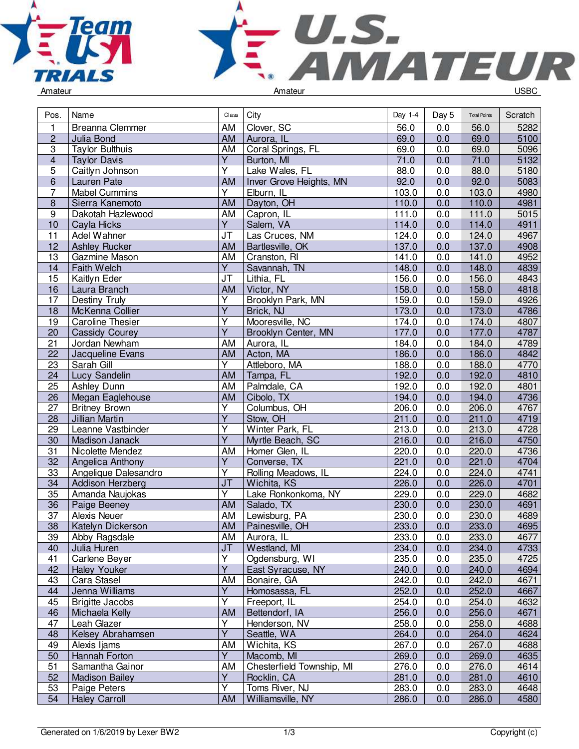



| Pos.            | Name                             | Class                   | City                      | Day 1-4 | Day 5            | <b>Total Points</b> | Scratch      |
|-----------------|----------------------------------|-------------------------|---------------------------|---------|------------------|---------------------|--------------|
| 1               | Breanna Clemmer                  | AM                      | Clover, SC                | 56.0    | 0.0              | 56.0                | 5282         |
| $\mathbf 2$     | Julia Bond                       | AM                      | Aurora, IL                | 69.0    | 0.0              | 69.0                | 5100         |
| $\overline{3}$  | <b>Taylor Bulthuis</b>           | AM                      | Coral Springs, FL         | 69.0    | 0.0              | 69.0                | 5096         |
| $\overline{4}$  | <b>Taylor Davis</b>              | $\overline{Y}$          | Burton, MI                | 71.0    | 0.0              | 71.0                | 5132         |
| $\overline{5}$  | Caitlyn Johnson                  | $\overline{\mathsf{Y}}$ | Lake Wales, FL            | 88.0    | 0.0              | 88.0                | 5180         |
| $\,6\,$         | Lauren Pate                      | AM                      | Inver Grove Heights, MN   | 92.0    | 0.0              | 92.0                | 5083         |
| $\overline{7}$  | <b>Mabel Cummins</b>             | $\overline{Y}$          | Elburn, IL                | 103.0   | 0.0              | 103.0               | 4980         |
| $\bf 8$         | Sierra Kanemoto                  | AM                      | Dayton, OH                | 110.0   | 0.0              | 110.0               | 4981         |
| 9               | Dakotah Hazlewood                | AM                      | Capron, IL                | 111.0   | 0.0              | 111.0               | 5015         |
| 10              | Cayla Hicks                      | $\overline{Y}$          | Salem, VA                 | 114.0   | 0.0              | 114.0               | 4911         |
| 11              | Adel Wahner                      | <b>JT</b>               | Las Cruces, NM            | 124.0   | 0.0              | 124.0               | 4967         |
| 12              | <b>Ashley Rucker</b>             | AM                      | Bartlesville, OK          | 137.0   | 0.0              | 137.0               | 4908         |
| 13              | Gazmine Mason                    | AM                      | Cranston, RI              | 141.0   | 0.0              | 141.0               | 4952         |
| 14              | Faith Welch                      | $\overline{Y}$          | Savannah, TN              | 148.0   | 0.0              | 148.0               | 4839         |
| 15              | Kaitlyn Eder                     | <b>JT</b>               | Lithia, FL                | 156.0   | $0.\overline{0}$ | 156.0               | 4843         |
| 16              | Laura Branch                     | AM                      | Victor, NY                | 158.0   | 0.0              | 158.0               | 4818         |
| 17              | Destiny Truly                    | $\overline{Y}$          | Brooklyn Park, MN         | 159.0   | 0.0              | 159.0               | 4926         |
| 18              | McKenna Collier                  | $\overline{Y}$          | Brick, NJ                 | 173.0   | 0.0              | 173.0               | 4786         |
| 19              | <b>Caroline Thesier</b>          | $\overline{Y}$          | Mooresville, NC           | 174.0   | 0.0              | 174.0               | 4807         |
| 20              | <b>Cassidy Courey</b>            | $\overline{Y}$          | Brooklyn Center, MN       | 177.0   | 0.0              | 177.0               | 4787         |
| 21              | Jordan Newham                    | AM                      | Aurora, IL                | 184.0   | 0.0              | 184.0               | 4789         |
| 22              | Jacqueline Evans                 | AM                      | Acton, MA                 | 186.0   | 0.0              | 186.0               | 4842         |
| 23              | Sarah Gill                       | $\overline{Y}$          | Attleboro, MA             | 188.0   | 0.0              | 188.0               | 4770         |
| 24              | Lucy Sandelin                    | AM                      | Tampa, FL                 | 192.0   | 0.0              | 192.0               | 4810         |
| 25              | Ashley Dunn                      | AM                      | Palmdale, CA              | 192.0   | 0.0              | 192.0               | 4801         |
| 26              | Megan Eaglehouse                 | AM                      | Cibolo, TX                | 194.0   | 0.0              | 194.0               | 4736         |
| 27              | <b>Britney Brown</b>             | $\overline{Y}$          | Columbus, OH              | 206.0   | 0.0              | 206.0               | 4767         |
| 28              | Jillian Martin                   | $\overline{Y}$          | Stow, OH                  | 211.0   | 0.0              | 211.0               | 4719         |
| 29              | Leanne Vastbinder                | Ÿ                       | Winter Park, FL           | 213.0   | 0.0              | 213.0               | 4728         |
| 30              | Madison Janack                   | $\overline{Y}$          | Myrtle Beach, SC          | 216.0   | 0.0              | 216.0               | 4750         |
| $\overline{31}$ | Nicolette Mendez                 | AM                      | Homer Glen, IL            | 220.0   | 0.0              | 220.0               | 4736         |
| 32              | Angelica Anthony                 | Y                       | Converse, TX              | 221.0   | 0.0              | 221.0               | 4704         |
| 33              | Angelique Dalesandro             | $\overline{Y}$          | Rolling Meadows, IL       | 224.0   | 0.0              | 224.0               | 4741         |
| 34              | Addison Herzberg                 | J <sub>T</sub>          | Wichita, KS               | 226.0   | 0.0              | 226.0               | 4701         |
| 35              | Amanda Naujokas                  | $\overline{Y}$          | Lake Ronkonkoma, NY       | 229.0   | 0.0              | 229.0               | 4682         |
| 36              | Paige Beeney                     | AM                      | Salado, TX                | 230.0   | 0.0              | 230.0               | 4691         |
| 37              | <b>Alexis Neuer</b>              | AM                      | Lewisburg, PA             | 230.0   | 0.0              | 230.0               | 4689         |
| 38              | Katelyn Dickerson                | AM                      | Painesville, OH           | 233.0   | 0.0              | 233.0               | 4695         |
| 39              | Abby Ragsdale                    | AM                      | Aurora, IL                | 233.0   | 0.0              | 233.0               | 4677         |
| 40              | Julia Huren                      | <b>JT</b>               | Westland, MI              | 234.0   | 0.0              | 234.0               | 4733         |
| 41              | Carlene Beyer                    | $\overline{Y}$          | Ogdensburg, WI            | 235.0   | 0.0              | 235.0               | 4725         |
| 42              | <b>Haley Youker</b>              | $\overline{Y}$          | East Syracuse, NY         | 240.0   | 0.0              | 240.0               | 4694         |
| 43              | Cara Stasel                      | AM                      | Bonaire, GA               | 242.0   | 0.0              | 242.0               | 4671         |
| 44              | Jenna Williams                   | $\overline{Y}$          | Homosassa, FL             | 252.0   | 0.0              | 252.0               | 4667         |
| 45              | <b>Brigitte Jacobs</b>           | Υ                       | Freeport, IL              | 254.0   | 0.0              | 254.0               | 4632         |
| 46              | Michaela Kelly                   | AM                      | Bettendorf, IA            | 256.0   | 0.0              | 256.0               | 4671         |
| 47              | Leah Glazer                      | $\overline{Y}$          | Henderson, NV             | 258.0   | 0.0              | 258.0               | 4688         |
| 48              | Kelsey Abrahamsen                | Y                       | Seattle, WA               | 264.0   | 0.0              | 264.0               | 4624         |
| 49              | Alexis Ijams                     | AM                      | Wichita, KS               | 267.0   | 0.0              | 267.0               | 4688         |
|                 |                                  | Y                       | Macomb, MI                | 269.0   |                  | 269.0               |              |
| 50<br>51        | Hannah Forton<br>Samantha Gainor | AM                      | Chesterfield Township, MI | 276.0   | 0.0<br>0.0       | 276.0               | 4635<br>4614 |
| 52              | <b>Madison Bailey</b>            | $\overline{Y}$          | Rocklin, CA               | 281.0   | 0.0              | 281.0               | 4610         |
| 53              | Paige Peters                     | $\overline{Y}$          | Toms River, NJ            | 283.0   | 0.0              | 283.0               | 4648         |
| 54              | <b>Haley Carroll</b>             | AM                      | Williamsville, NY         | 286.0   | 0.0              | 286.0               | 4580         |
|                 |                                  |                         |                           |         |                  |                     |              |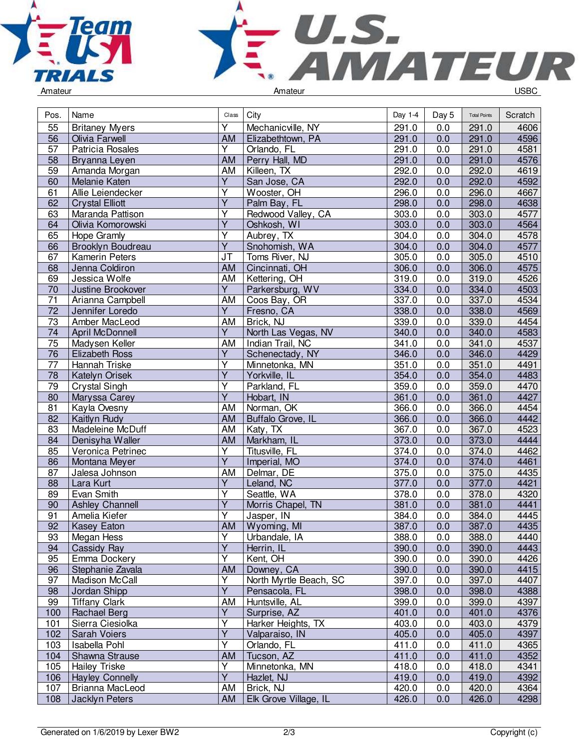



| Pos.            | Name                   | Class                   | City                   | Day 1-4 | Day 5 | <b>Total Points</b> | Scratch |
|-----------------|------------------------|-------------------------|------------------------|---------|-------|---------------------|---------|
| 55              | <b>Britaney Myers</b>  | Y                       | Mechanicville, NY      | 291.0   | 0.0   | 291.0               | 4606    |
| 56              | Olivia Farwell         | <b>AM</b>               | Elizabethtown, PA      | 291.0   | 0.0   | 291.0               | 4596    |
| $\overline{57}$ | Patricia Rosales       | Ÿ                       | Orlando, FL            | 291.0   | 0.0   | 291.0               | 4581    |
| 58              | Bryanna Leyen          | AM                      | Perry Hall, MD         | 291.0   | 0.0   | 291.0               | 4576    |
| 59              | Amanda Morgan          | AM                      | Killeen, TX            | 292.0   | 0.0   | 292.0               | 4619    |
| 60              | Melanie Katen          | $\overline{Y}$          | San Jose, CA           | 292.0   | 0.0   | 292.0               | 4592    |
| 61              | Allie Leiendecker      | $\overline{\mathsf{Y}}$ | Wooster, OH            | 296.0   | 0.0   | 296.0               | 4667    |
| 62              | <b>Crystal Elliott</b> | $\overline{\mathsf{Y}}$ | Palm Bay, FL           | 298.0   | 0.0   | 298.0               | 4638    |
| 63              | Maranda Pattison       | $\overline{Y}$          | Redwood Valley, CA     | 303.0   | 0.0   | 303.0               | 4577    |
| 64              | Olivia Komorowski      | $\overline{Y}$          | Oshkosh, WI            | 303.0   | 0.0   | 303.0               | 4564    |
| 65              | Hope Gramly            | Υ                       | Aubrey, TX             | 304.0   | 0.0   | 304.0               | 4578    |
| 66              | Brooklyn Boudreau      | $\overline{Y}$          | Snohomish, WA          | 304.0   | 0.0   | 304.0               | 4577    |
| 67              | Kamerin Peters         | JT                      | Toms River, NJ         | 305.0   | 0.0   | 305.0               | 4510    |
| 68              | Jenna Coldiron         | AM                      | Cincinnati, OH         | 306.0   | 0.0   | 306.0               | 4575    |
| 69              | Jessica Wolfe          | AM                      | Kettering, OH          | 319.0   | 0.0   | 319.0               | 4526    |
| 70              | Justine Brookover      | $\overline{Y}$          | Parkersburg, WV        | 334.0   | 0.0   | 334.0               | 4503    |
| $\overline{71}$ | Arianna Campbell       | AM                      | Coos Bay, OR           | 337.0   | 0.0   | 337.0               | 4534    |
| $\overline{72}$ | Jennifer Loredo        | $\overline{Y}$          | Fresno, CA             | 338.0   | 0.0   | 338.0               | 4569    |
| 73              | Amber MacLeod          | AM                      | Brick, NJ              | 339.0   | 0.0   | 339.0               | 4454    |
| 74              | April McDonnell        | Y                       | North Las Vegas, NV    | 340.0   | 0.0   | 340.0               | 4583    |
| 75              | Madysen Keller         | AM                      | Indian Trail, NC       | 341.0   | 0.0   | 341.0               | 4537    |
| 76              | <b>Elizabeth Ross</b>  | Ÿ                       | Schenectady, NY        | 346.0   | 0.0   | 346.0               | 4429    |
| $\overline{77}$ | Hannah Triske          | Υ                       | Minnetonka, MN         | 351.0   | 0.0   | 351.0               | 4491    |
| $\overline{78}$ |                        | $\overline{\mathsf{Y}}$ |                        | 354.0   | 0.0   | 354.0               | 4483    |
|                 | Katelyn Orisek         | $\overline{\mathsf{Y}}$ | Yorkville, IL          |         |       |                     |         |
| 79              | Crystal Singh          | $\overline{\mathsf{Y}}$ | Parkland, FL           | 359.0   | 0.0   | 359.0               | 4470    |
| 80              | Maryssa Carey          |                         | Hobart, IN             | 361.0   | 0.0   | 361.0               | 4427    |
| 81              | Kayla Ovesny           | AM                      | Norman, OK             | 366.0   | 0.0   | 366.0               | 4454    |
| 82              | Kaitlyn Rudy           | AM                      | Buffalo Grove, IL      | 366.0   | 0.0   | 366.0               | 4442    |
| 83              | Madeleine McDuff       | AM                      | Katy, TX               | 367.0   | 0.0   | 367.0               | 4523    |
| 84              | Denisyha Waller        | AM                      | Markham, IL            | 373.0   | 0.0   | 373.0               | 4444    |
| 85              | Veronica Petrinec      | Υ                       | Titusville, FL         | 374.0   | 0.0   | 374.0               | 4462    |
| 86              | Montana Meyer          | Ÿ                       | Imperial, MO           | 374.0   | 0.0   | 374.0               | 4461    |
| 87              | Jalesa Johnson         | AM                      | Delmar, DE             | 375.0   | 0.0   | 375.0               | 4435    |
| 88              | Lara Kurt              | $\overline{Y}$          | Leland, NC             | 377.0   | 0.0   | 377.0               | 4421    |
| 89              | Evan Smith             | $\overline{\mathsf{Y}}$ | Seattle, WA            | 378.0   | 0.0   | 378.0               | 4320    |
| 90              | <b>Ashley Channell</b> | Ÿ                       | Morris Chapel, TN      | 381.0   | 0.0   | 381.0               | 4441    |
| 91              | Amelia Kiefer          | Ÿ                       | Jasper, IN             | 384.0   | 0.0   | 384.0               | 4445    |
| 92              | <b>Kasey Eaton</b>     | AM                      | Wyoming, MI            | 387.0   | 0.0   | 387.0               | 4435    |
| 93              | Megan Hess             | Υ                       | Urbandale, IA          | 388.0   | 0.0   | 388.0               | 4440    |
| 94              | Cassidy Ray            | $\overline{Y}$          | Herrin, IL             | 390.0   | 0.0   | 390.0               | 4443    |
| 95              | Emma Dockery           | Υ                       | Kent, OH               | 390.0   | 0.0   | 390.0               | 4426    |
| 96              | Stephanie Zavala       | AM                      | Downey, CA             | 390.0   | 0.0   | 390.0               | 4415    |
| 97              | Madison McCall         | $\overline{Y}$          | North Myrtle Beach, SC | 397.0   | 0.0   | 397.0               | 4407    |
| 98              | Jordan Shipp           | $\overline{Y}$          | Pensacola, FL          | 398.0   | 0.0   | 398.0               | 4388    |
| 99              | <b>Tiffany Clark</b>   | AM                      | Huntsville, AL         | 399.0   | 0.0   | 399.0               | 4397    |
| 100             | Rachael Berg           | $\overline{Y}$          | Surprise, AZ           | 401.0   | 0.0   | 401.0               | 4376    |
| 101             | Sierra Ciesiolka       | $\overline{\mathsf{Y}}$ | Harker Heights, TX     | 403.0   | 0.0   | 403.0               | 4379    |
| 102             | Sarah Voiers           | $\overline{Y}$          | Valparaiso, IN         | 405.0   | 0.0   | 405.0               | 4397    |
| 103             | Isabella Pohl          | $\overline{\mathsf{Y}}$ | Orlando, FL            | 411.0   | 0.0   | 411.0               | 4365    |
| 104             | Shawna Strause         | AM                      | Tucson, AZ             | 411.0   | 0.0   | 411.0               | 4352    |
| 105             | <b>Hailey Triske</b>   | Υ                       | Minnetonka, MN         | 418.0   | 0.0   | 418.0               | 4341    |
| 106             | <b>Hayley Connelly</b> | $\overline{\mathsf{Y}}$ | Hazlet, NJ             | 419.0   | 0.0   | 419.0               | 4392    |
| 107             | Brianna MacLeod        | AM                      | Brick, NJ              | 420.0   | 0.0   | 420.0               | 4364    |
| 108             | Jacklyn Peters         | AM                      | Elk Grove Village, IL  | 426.0   | 0.0   | 426.0               | 4298    |